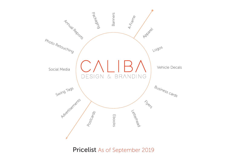

Pricelist As of September 2019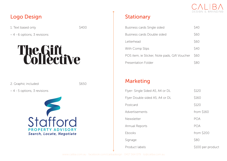

## Logo Design No. 2012 12:33 No. 2013 12:34 No. 2013 12:34 No. 2013 12:34 No. 2013 12:34 No. 2013 12:34 No. 2013

1. Text based only \$400

– 4 - 6 options, 3 revisions

# The Sift<br>Collective

2. Graphic included \$650

– 4 - 5 options, 3 revisions



| Business cards Single sided                   | <b>\$40</b> |
|-----------------------------------------------|-------------|
| Business cards Double sided                   | \$60        |
| Letterhead                                    | \$60        |
| With Comp Slips                               | \$40        |
| POS item, ie Sticker, Note pads, Gift Voucher | S60         |
| <b>Presentation Folder</b>                    |             |

## Marketing

| Flyer- Single Sided A5, A4 or DL | \$120             |
|----------------------------------|-------------------|
| Flyer Double sided A5, A4 or DL  | \$160             |
| Postcard                         | \$120             |
| Advertisements                   | from $$160$       |
| Newsletter                       | <b>POA</b>        |
| Annual Reports                   | POA               |
| Ebooks                           | from $$200$       |
| Signage                          | \$80              |
| Product labels                   | \$100 per product |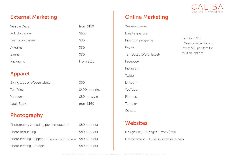

## External Marketing

| Vehicle Decal    | from \$150 |
|------------------|------------|
| Pull Up Banner   | \$100      |
| Tear Drop banner | \$80       |
| A-Frame          | \$80       |
| <b>Banner</b>    | \$80       |
| Packaging        | From \$120 |

## Apparel

| Swing tags or Woven labels | \$60            |
|----------------------------|-----------------|
| Tee Prints                 | \$400 per print |
| Yardages                   | \$80 per style  |
| Look Book                  | from $$160$     |

## Photography

| Photography (including post production)                               | \$80 per hour |
|-----------------------------------------------------------------------|---------------|
| Photo retouching                                                      | \$80 per hour |
| Photo etching $-$ apparel $-$ fashion (avg 12 per hour) \$80 per hour |               |
| Photo etching - people                                                | \$80 per hour |

## Online Marketing

Website banner Email signature Invoicing programs PayPal Templates (Word, Excel) Facebook Instagram Twitter LinkedIn YouTube Pinterest Tumbler Other...

## **Websites**

Design only – 5 pages – from \$350 Development – To be sourced externally

Each item \$60 - More combinations as low as \$20 per item for multiple options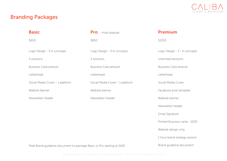

## Branding Packages

#### Basic

\$650

Logo Design - 3-4 concepts

3 revisions

Business Card artwork

Letterhead

Social Media Cover – 1 platform

Website banner

Newsletter header

Pro - most popular

\$850

Logo Design - 3-4 concepts

3 revisions

Business Card artwork

Letterhead

Social Media Cover – 1 platform

Website banner

Newsletter header

### Premium

\$1250

Logo Design - 3 - 4 concepts

Unlimited revisions

Business Card artwork

Letterhead

Social Media Cover

Facebook post template

Website banner

Newsletter header

Email Signature

Printed Business cards - 1000

Website design only

1 hour brand strategy session

Brand guideline document

\*Add Brand guideline document to package Basic or Pro starting at \$160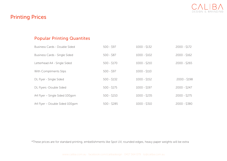

## Printing Prices

## Popular Printing Quantites

| <b>Business Cards - Double Sided</b> | $500 - 597$  | $1000 - $132$ | $2000 - $172$ |
|--------------------------------------|--------------|---------------|---------------|
| Business Cards - Single Sided        | $500 - $87$  | $1000 - $102$ | $2000 - $162$ |
| Letterhead A4 - Single Sided         | $500 - $170$ | $1000 - $210$ | $2000 - $265$ |
| With Compliments Slips               | $500 - 597$  | $1000 - $110$ |               |
| DL Flyer - Single Sided              | $500 - $132$ | $1000 - $152$ | $2000 - $198$ |
| DL Flyers -Double Sided              | $500 - $175$ | $1000 - $197$ | $2000 - $247$ |
| A4 Flyer - Single Sided 100gsm       | $500 - $210$ | $1000 - $235$ | $2000 - $275$ |
| A4 Flyer - Double Sided 100gsm       | $500 - $285$ | $1000 - $310$ | $2000 - $380$ |

\*These prices are for standard printing, embellishments like Spot UV, rounded edges, heavy paper weights will be extra